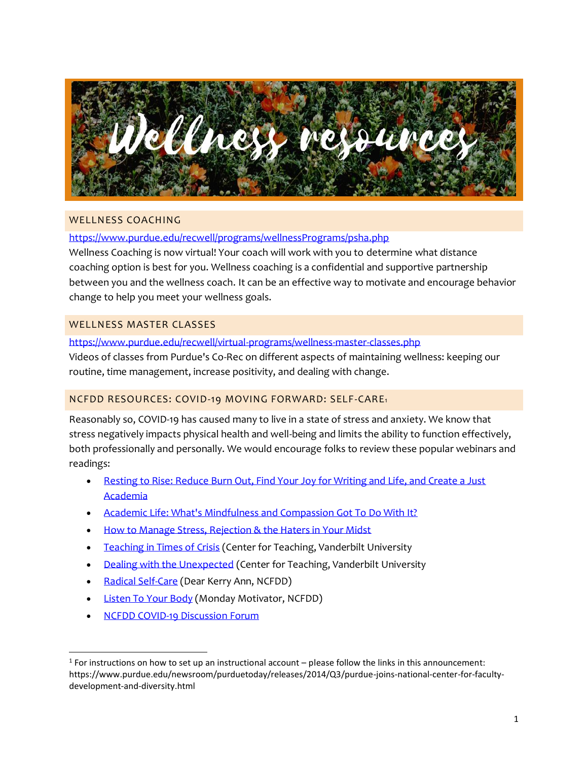

## WELLNESS COACHING

## <https://www.purdue.edu/recwell/programs/wellnessPrograms/psha.php>

Wellness Coaching is now virtual! Your coach will work with you to determine what distance coaching option is best for you. Wellness coaching is a confidential and supportive partnership between you and the wellness coach. It can be an effective way to motivate and encourage behavior change to help you meet your wellness goals.

## WELLNESS MASTER CLASSES

### <https://www.purdue.edu/recwell/virtual-programs/wellness-master-classes.php>

Videos of classes from Purdue's Co-Rec on different aspects of maintaining wellness: keeping our routine, time management, increase positivity, and dealing with change.

# NCFDD RESOURCES: COVID-19 MOVING FORWARD: SELF-CARE<sup>1</sup>

Reasonably so, COVID-19 has caused many to live in a state of stress and anxiety. We know that stress negatively impacts physical health and well-being and limits the ability to function effectively, both professionally and personally. We would encourage folks to review these popular webinars and readings:

- [Resting to Rise: Reduce Burn Out, Find Your Joy for Writing and Life, and Create a Just](https://www.facultydiversity.org/webinars/restingtorise)  [Academia](https://www.facultydiversity.org/webinars/restingtorise)
- [Academic Life: What's Mindfulness and Compassion Got To Do With It?](https://www.facultydiversity.org/webinars/mindfulness18)
- [How to Manage Stress, Rejection & the Haters in Your Midst](https://www.facultydiversity.org/webinars/rejection19)
- [Teaching in Times of Crisis](https://cft.vanderbilt.edu/guides-sub-pages/crisis/) (Center for Teaching, Vanderbilt University
- [Dealing with the Unexpected](https://cft.vanderbilt.edu/guides-sub-pages/dealing-with-the-unexpected/) (Center for Teaching, Vanderbilt University
- [Radical Self-Care](https://www.facultydiversity.org/news/dearkerryann11) (Dear Kerry Ann, NCFDD)
- [Listen To Your Body](https://www.facultydiversity.org/monday-motivator/listentoyourbody) (Monday Motivator, NCFDD)
- [NCFDD COVID-19 Discussion Forum](https://forums.facultydiversity.org/c/covid-19-support/17)

 $1$  For instructions on how to set up an instructional account – please follow the links in this announcement: https://www.purdue.edu/newsroom/purduetoday/releases/2014/Q3/purdue-joins-national-center-for-facultydevelopment-and-diversity.html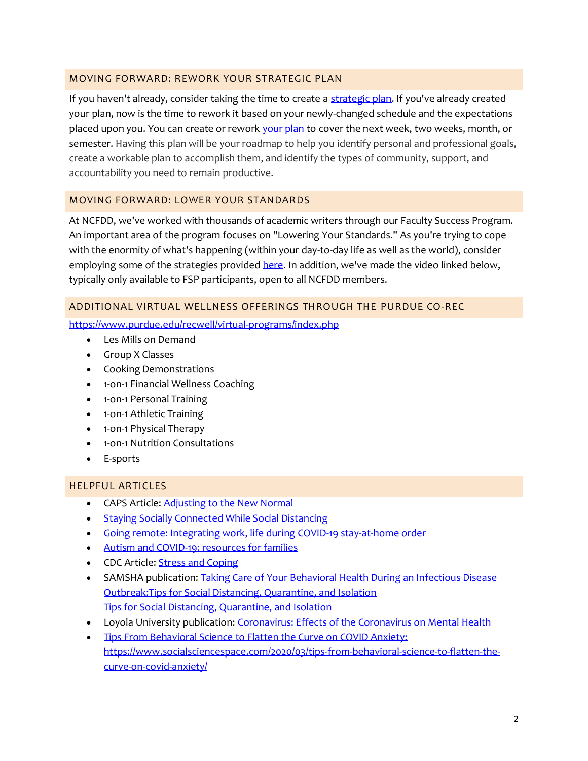## MOVING FORWARD: REWORK YOUR STRATEGIC PLAN

If you haven't already, consider taking the time to create a [strategic plan.](https://www.facultydiversity.org/webinars/semesterplan20) If you've already created your plan, now is the time to rework it based on your newly-changed schedule and the expectations placed upon you. You can create or rework [your plan](https://www.facultydiversity.org/webinars/semesterplan20) to cover the next week, two weeks, month, or semester. Having this plan will be your roadmap to help you identify personal and professional goals, create a workable plan to accomplish them, and identify the types of community, support, and accountability you need to remain productive.

## MOVING FORWARD: LOWER YOUR STANDARDS

At NCFDD, we've worked with thousands of academic writers through our Faculty Success Program. An important area of the program focuses on "Lowering Your Standards." As you're trying to cope with the enormity of what's happening (within your day-to-day life as well as the world), consider employing some of the strategies provide[d here.](https://www.facultydiversity.org/monday-motivator/loweryourstandard) In addition, we've made the video linked below, typically only available to FSP participants, open to all NCFDD members.

## ADDITIONAL VIRTUAL WELLNESS OFFERINGS THROUGH THE PURDUE CO-REC

<https://www.purdue.edu/recwell/virtual-programs/index.php>

- Les Mills on Demand
- Group X Classes
- Cooking Demonstrations
- 1-on-1 Financial Wellness Coaching
- 1-on-1 Personal Training
- 1-on-1 Athletic Training
- 1-on-1 Physical Therapy
- 1-on-1 Nutrition Consultations
- E-sports

## HELPFUL ARTICLES

- CAPS Article: [Adjusting to the New](https://www.purdue.edu/caps/covid-19/adjusting-to-new-normal.html) Normal
- [Staying Socially Connected While Social Distancing](https://www.purdue.edu/hr/CHL/healthyboiler/news/newsletter/2020-04/socially-connected.php?utm_source=delivra&utm_medium=email&utm_campaign=HB%20newsletter%20-%20Issue%2015%20-%20April%202020&utm_id=39478354)
- [Going remote: Integrating work, life during COVID-19 stay-at-home order](https://www.purdue.edu/hr/CHL/healthyboiler/news/newsletter/2020-04/going-remote.php?utm_source=delivra&utm_medium=email&utm_campaign=HB%20newsletter%20-%20Issue%2015%20-%20April%202020&utm_id=39478354)
- [Autism and COVID-19: resources for families](https://www.purdue.edu/hr/CHL/healthyboiler/news/newsletter/2020-04/autism_awareness.php?utm_source=delivra&utm_medium=email&utm_campaign=HB%20newsletter%20-%20Issue%2015%20-%20April%202020&utm_id=39478354)
- CDC Article: [Stress and Coping](https://www.cdc.gov/coronavirus/2019-ncov/daily-life-coping/managing-stress-anxiety.html?CDC_AA_refVal=https%3A%2F%2Fwww.cdc.gov%2Fcoronavirus%2F2019-ncov%2Fprepare%2Fmanaging-stress-anxiety.html)
- SAMSHA publication: Taking Care of Your Behavioral Health During an Infectious Disease [Outbreak:Tips for Social Distancing, Quarantine, and Isolation](https://store.samhsa.gov/product/Taking-Care-of-Your-Behavioral-Health-During-an-Infectious-Disease-Outbreak/sma14-4894) [Tips for Social Distancing, Quarantine, and Isolation](https://store.samhsa.gov/product/Taking-Care-of-Your-Behavioral-Health-During-an-Infectious-Disease-Outbreak/sma14-4894)
- Loyola University publication: [Coronavirus: Effects of the Coronavirus on Mental Health](https://www.loyola.edu/department/counseling-center/lets-talk/coronavirus)
- Tips From Behavioral Science to Flatten the Curve on COVID Anxiety: https://www.socialsciencespace.com/2020/03/tips-from-behavioral-science-to-flatten-thecurve-on-covid-anxiety/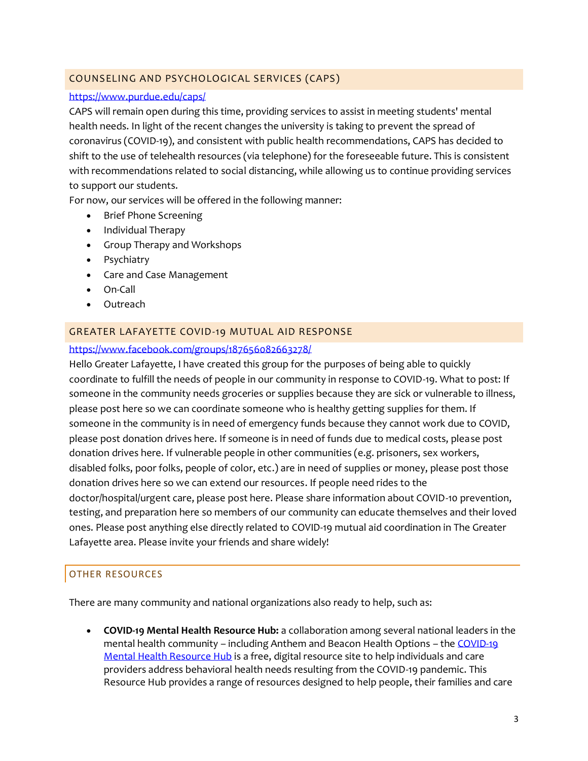# COUNSELING AND PSYCHOLOGICAL SERVICES (CAPS)

### <https://www.purdue.edu/caps/>

CAPS will remain open during this time, providing services to assist in meeting students' mental health needs. In light of the recent changes the university is taking to prevent the spread of coronavirus (COVID-19), and consistent with public health recommendations, CAPS has decided to shift to the use of telehealth resources (via telephone) for the foreseeable future. This is consistent with recommendations related to social distancing, while allowing us to continue providing services to support our students.

For now, our services will be offered in the following manner:

- Brief Phone Screening
- Individual Therapy
- Group Therapy and Workshops
- Psychiatry
- Care and Case Management
- On-Call
- Outreach

## GREATER LAFAYETTE COVID-19 MUTUAL AID RESPONSE

### <https://www.facebook.com/groups/187656082663278/>

Hello Greater Lafayette, I have created this group for the purposes of being able to quickly coordinate to fulfill the needs of people in our community in response to COVID-19. What to post: If someone in the community needs groceries or supplies because they are sick or vulnerable to illness, please post here so we can coordinate someone who is healthy getting supplies for them. If someone in the community is in need of emergency funds because they cannot work due to COVID, please post donation drives here. If someone is in need of funds due to medical costs, please post donation drives here. If vulnerable people in other communities (e.g. prisoners, sex workers, disabled folks, poor folks, people of color, etc.) are in need of supplies or money, please post those donation drives here so we can extend our resources. If people need rides to the doctor/hospital/urgent care, please post here. Please share information about COVID-10 prevention, testing, and preparation here so members of our community can educate themselves and their loved ones. Please post anything else directly related to COVID-19 mutual aid coordination in The Greater Lafayette area. Please invite your friends and share widely!

# OTHER RESOURCES

There are many community and national organizations also ready to help, such as:

• **COVID-19 Mental Health Resource Hub:** a collaboration among several national leaders in the mental health community – including Anthem and Beacon Health Options – th[e COVID-19](https://psychhub.com/covid-19/)  [Mental Health Resource Hub](https://psychhub.com/covid-19/) is a free, digital resource site to help individuals and care providers address behavioral health needs resulting from the COVID-19 pandemic. This Resource Hub provides a range of resources designed to help people, their families and care